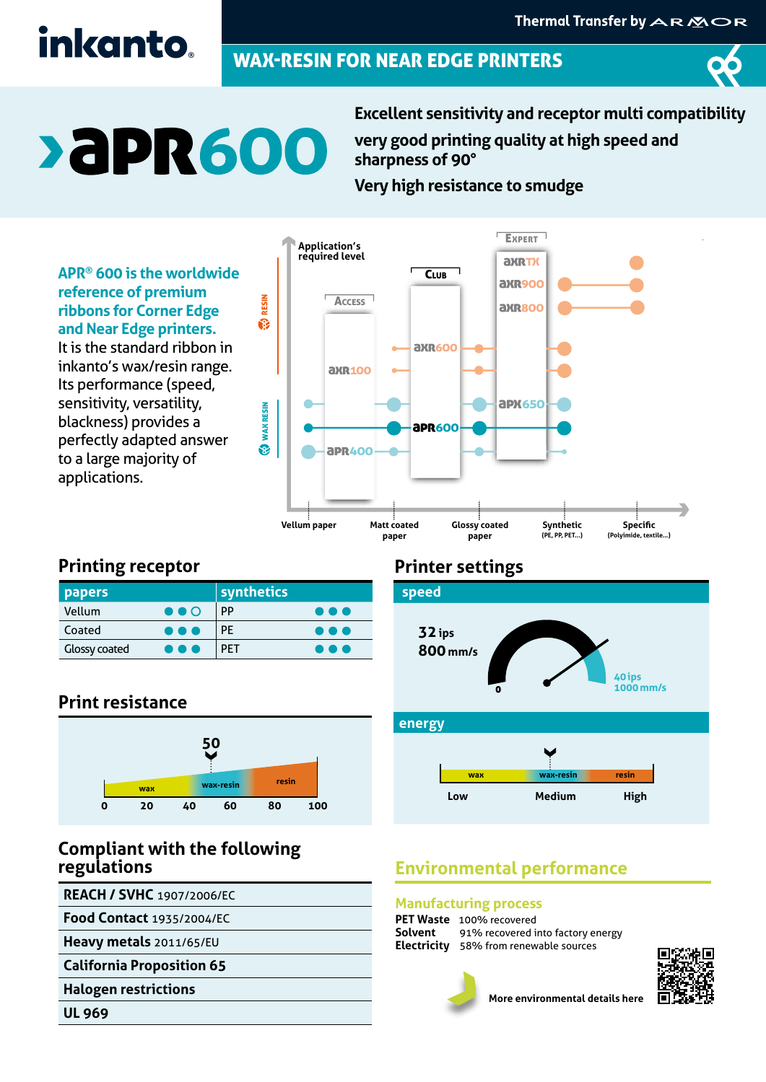## inkanto.

### WAX-RESIN FOR NEAR EDGE PRINTERS



# **>aPR600**

**Excellent sensitivity and receptor multi compatibility very good printing quality at high speed and sharpness of 90°**

**Very high resistance to smudge**

**APR® 600 is the worldwide reference of premium ribbons for Corner Edge and Near Edge printers.**  It is the standard ribbon in inkanto's wax/resin range. Its performance (speed, sensitivity, versatility, blackness) provides a perfectly adapted answer to a large majority of applications.



#### **Printing receptor**

| <b>papers</b>        |                         | synthetics |                         |
|----------------------|-------------------------|------------|-------------------------|
| Vellum               | $\bullet\bullet\circ$   | PP         | $\bullet\bullet\bullet$ |
| Coated               | $\bullet\bullet\bullet$ | PE         | $\bullet\bullet\bullet$ |
| <b>Glossy coated</b> | $\bullet\bullet\bullet$ | <b>PFT</b> | О                       |

#### **Print resistance**



#### **Compliant with the following regulations**

**REACH / SVHC** 1907/2006/EC

**Food Contact** 1935/2004/EC

**Heavy metals** 2011/65/EU

**California Proposition 65**

**Halogen restrictions**

**UL 969**

#### **Printer settings**



#### **Environmental performance**

#### **Manufacturing process**

| <b>PET Waste</b> 100% recovered                  |
|--------------------------------------------------|
| <b>Solvent</b> 91% recovered into factory energy |
| <b>Electricity</b> 58% from renewable sources    |





**More environmental details here**